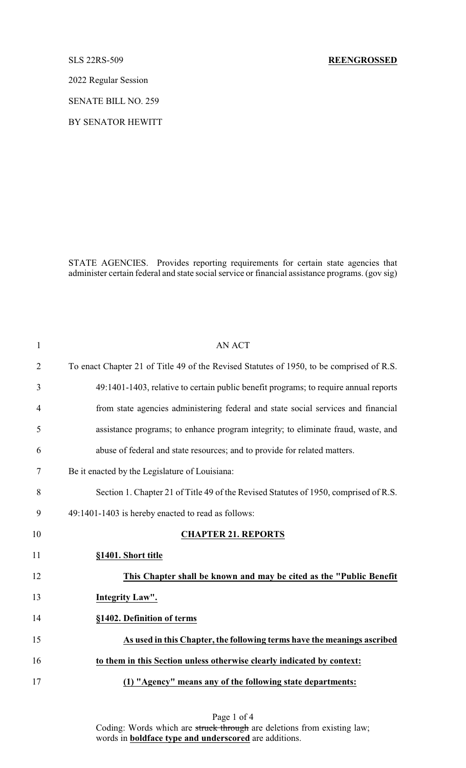## SLS 22RS-509 **REENGROSSED**

2022 Regular Session

SENATE BILL NO. 259

BY SENATOR HEWITT

STATE AGENCIES. Provides reporting requirements for certain state agencies that administer certain federal and state social service or financial assistance programs. (gov sig)

| $\mathbf{1}$   | <b>AN ACT</b>                                                                            |
|----------------|------------------------------------------------------------------------------------------|
| $\overline{2}$ | To enact Chapter 21 of Title 49 of the Revised Statutes of 1950, to be comprised of R.S. |
| 3              | 49:1401-1403, relative to certain public benefit programs; to require annual reports     |
| $\overline{4}$ | from state agencies administering federal and state social services and financial        |
| 5              | assistance programs; to enhance program integrity; to eliminate fraud, waste, and        |
| 6              | abuse of federal and state resources; and to provide for related matters.                |
| $\tau$         | Be it enacted by the Legislature of Louisiana:                                           |
| 8              | Section 1. Chapter 21 of Title 49 of the Revised Statutes of 1950, comprised of R.S.     |
| 9              | 49:1401-1403 is hereby enacted to read as follows:                                       |
| 10             | <b>CHAPTER 21. REPORTS</b>                                                               |
| 11             | §1401. Short title                                                                       |
| 12             | This Chapter shall be known and may be cited as the "Public Benefit"                     |
| 13             | Integrity Law".                                                                          |
| 14             | §1402. Definition of terms                                                               |
| 15             | As used in this Chapter, the following terms have the meanings ascribed                  |
| 16             | to them in this Section unless otherwise clearly indicated by context:                   |
| 17             | (1) "Agency" means any of the following state departments:                               |

Page 1 of 4 Coding: Words which are struck through are deletions from existing law; words in **boldface type and underscored** are additions.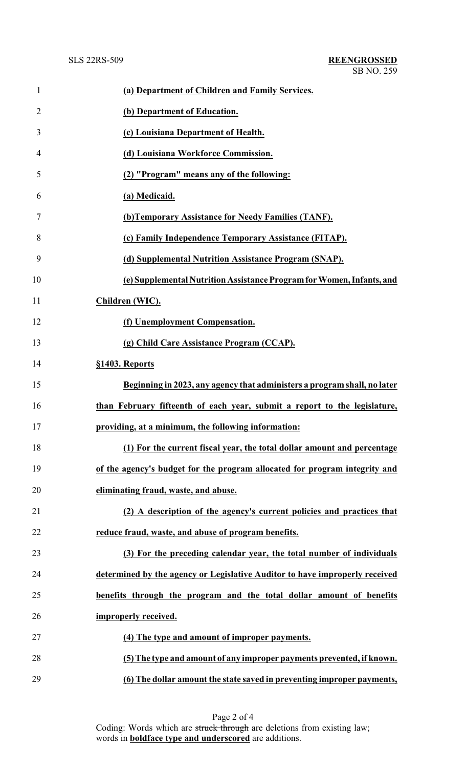| $\mathbf{1}$   | (a) Department of Children and Family Services.                             |
|----------------|-----------------------------------------------------------------------------|
| $\overline{2}$ | (b) Department of Education.                                                |
| 3              | (c) Louisiana Department of Health.                                         |
| 4              | (d) Louisiana Workforce Commission.                                         |
| 5              | (2) "Program" means any of the following:                                   |
| 6              | (a) Medicaid.                                                               |
| 7              | (b) Temporary Assistance for Needy Families (TANF).                         |
| 8              | (c) Family Independence Temporary Assistance (FITAP).                       |
| 9              | (d) Supplemental Nutrition Assistance Program (SNAP).                       |
| 10             | (e) Supplemental Nutrition Assistance Program for Women, Infants, and       |
| 11             | Children (WIC).                                                             |
| 12             | (f) Unemployment Compensation.                                              |
| 13             | (g) Child Care Assistance Program (CCAP).                                   |
| 14             | §1403. Reports                                                              |
| 15             | Beginning in 2023, any agency that administers a program shall, no later    |
| 16             | than February fifteenth of each year, submit a report to the legislature,   |
| 17             | providing, at a minimum, the following information:                         |
| 18             | (1) For the current fiscal year, the total dollar amount and percentage     |
| 19             | of the agency's budget for the program allocated for program integrity and  |
| 20             | eliminating fraud, waste, and abuse.                                        |
| 21             | (2) A description of the agency's current policies and practices that       |
| 22             | reduce fraud, waste, and abuse of program benefits.                         |
| 23             | (3) For the preceding calendar year, the total number of individuals        |
| 24             | determined by the agency or Legislative Auditor to have improperly received |
| 25             | benefits through the program and the total dollar amount of benefits        |
| 26             | improperly received.                                                        |
| 27             | (4) The type and amount of improper payments.                               |
| 28             | (5) The type and amount of any improper payments prevented, if known.       |
| 29             | (6) The dollar amount the state saved in preventing improper payments,      |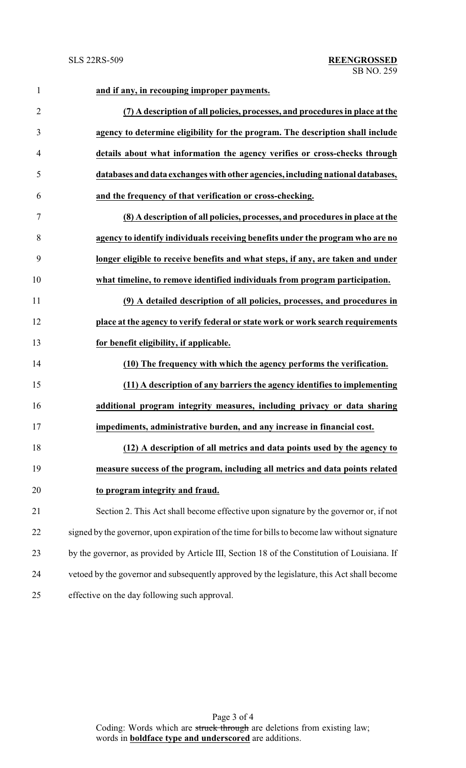| $\mathbf{1}$   | and if any, in recouping improper payments.                                                   |
|----------------|-----------------------------------------------------------------------------------------------|
| $\overline{2}$ | (7) A description of all policies, processes, and procedures in place at the                  |
| 3              | agency to determine eligibility for the program. The description shall include                |
| $\overline{4}$ | details about what information the agency verifies or cross-checks through                    |
| 5              | databases and data exchanges with other agencies, including national databases,               |
| 6              | and the frequency of that verification or cross-checking.                                     |
| $\tau$         | (8) A description of all policies, processes, and procedures in place at the                  |
| 8              | agency to identify individuals receiving benefits under the program who are no                |
| 9              | longer eligible to receive benefits and what steps, if any, are taken and under               |
| 10             | what timeline, to remove identified individuals from program participation.                   |
| 11             | (9) A detailed description of all policies, processes, and procedures in                      |
| 12             | place at the agency to verify federal or state work or work search requirements               |
| 13             | for benefit eligibility, if applicable.                                                       |
| 14             | (10) The frequency with which the agency performs the verification.                           |
| 15             | (11) A description of any barriers the agency identifies to implementing                      |
| 16             | additional program integrity measures, including privacy or data sharing                      |
| 17             | impediments, administrative burden, and any increase in financial cost.                       |
| 18             | (12) A description of all metrics and data points used by the agency to                       |
| 19             | measure success of the program, including all metrics and data points related                 |
| 20             | to program integrity and fraud.                                                               |
| 21             | Section 2. This Act shall become effective upon signature by the governor or, if not          |
| 22             | signed by the governor, upon expiration of the time for bills to become law without signature |
| 23             | by the governor, as provided by Article III, Section 18 of the Constitution of Louisiana. If  |
| 24             | vetoed by the governor and subsequently approved by the legislature, this Act shall become    |
| 25             | effective on the day following such approval.                                                 |